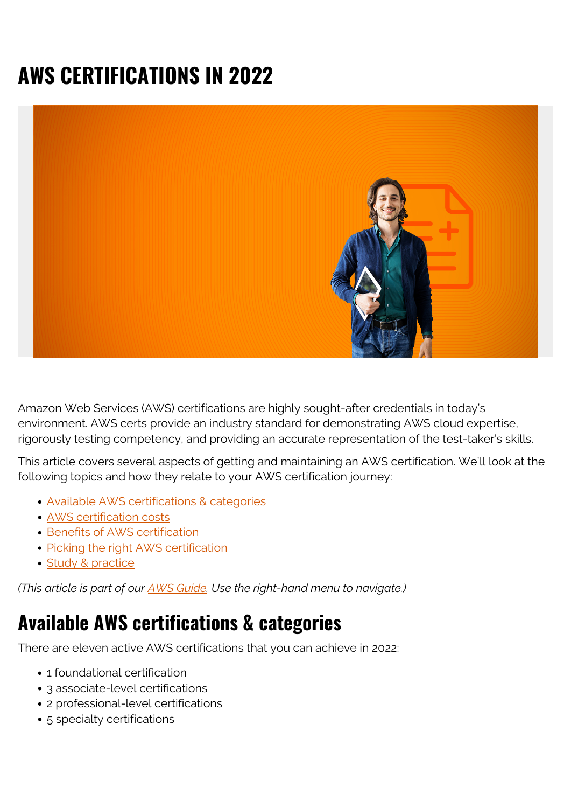# **AWS CERTIFICATIONS IN 2022**



Amazon Web Services (AWS) certifications are highly sought-after credentials in today's environment. AWS certs provide an industry standard for demonstrating AWS cloud expertise, rigorously testing competency, and providing an accurate representation of the test-taker's skills.

This article covers several aspects of getting and maintaining an AWS certification. We'll look at the following topics and how they relate to your AWS certification journey:

- [Available AWS certifications & categories](#page--1-0)
- [AWS certification costs](#page--1-0)
- **[Benefits of AWS certification](#page--1-0)**
- [Picking the right AWS certification](#page--1-0)
- [Study & practice](#page--1-0)

*(This article is part of our [AWS Guide](https://blogs.bmc.com/blogs/aws-serverless-applications/). Use the right-hand menu to navigate.)*

#### **Available AWS certifications & categories**

There are eleven active AWS certifications that you can achieve in 2022:

- 1 foundational certification
- 3 associate-level certifications
- 2 professional-level certifications
- 5 specialty certifications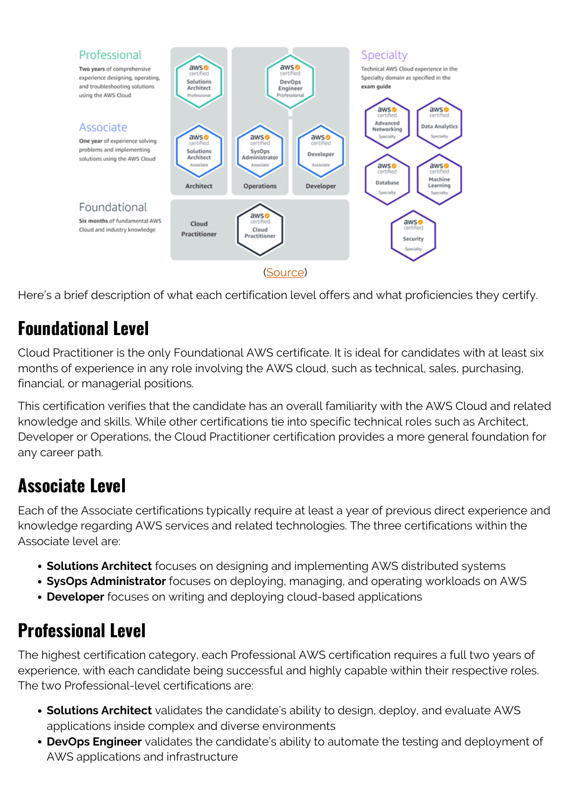

Here's a brief description of what each certification level offers and what proficiencies they certify.

#### **Foundational Level**

Cloud Practitioner is the only Foundational AWS certificate. It is ideal for candidates with at least six months of experience in any role involving the AWS cloud, such as technical, sales, purchasing, financial, or managerial positions.

This certification verifies that the candidate has an overall familiarity with the AWS Cloud and related knowledge and skills. While other certifications tie into specific technical roles such as Architect, Developer or Operations, the Cloud Practitioner certification provides a more general foundation for any career path.

#### **Associate Level**

Each of the Associate certifications typically require at least a year of previous direct experience and knowledge regarding AWS services and related technologies. The three certifications within the Associate level are:

- **Solutions Architect** focuses on designing and implementing AWS distributed systems
- **SysOps Administrator** focuses on deploying, managing, and operating workloads on AWS
- **Developer** focuses on writing and deploying cloud-based applications

#### **Professional Level**

The highest certification category, each Professional AWS certification requires a full two years of experience, with each candidate being successful and highly capable within their respective roles. The two Professional-level certifications are:

- **Solutions Architect** validates the candidate's ability to design, deploy, and evaluate AWS applications inside complex and diverse environments
- **DevOps Engineer** validates the candidate's ability to automate the testing and deployment of AWS applications and infrastructure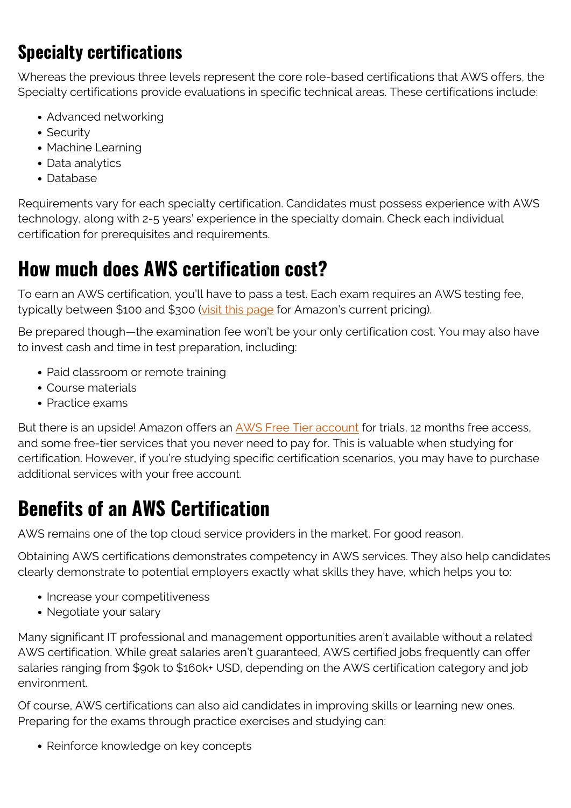#### **Specialty certifications**

Whereas the previous three levels represent the core role-based certifications that AWS offers, the Specialty certifications provide evaluations in specific technical areas. These certifications include:

- Advanced networking
- Security
- Machine Learning
- Data analytics
- Database

Requirements vary for each specialty certification. Candidates must possess experience with AWS technology, along with 2-5 years' experience in the specialty domain. Check each individual certification for prerequisites and requirements.

#### **How much does AWS certification cost?**

To earn an AWS certification, you'll have to pass a test. Each exam requires an AWS testing fee, typically between \$100 and \$300 [\(visit this page](https://aws.amazon.com/certification/exams/) for Amazon's current pricing).

Be prepared though—the examination fee won't be your only certification cost. You may also have to invest cash and time in test preparation, including:

- Paid classroom or remote training
- Course materials
- Practice exams

But there is an upside! Amazon offers an [AWS Free Tier account](https://aws.amazon.com/free/?all-free-tier.sort-by=item.additionalFields.SortRank&all-free-tier.sort-order=asc&awsf.Free%20Tier%20Types=*all&awsf.Free%20Tier%20Categories=*all) for trials, 12 months free access, and some free-tier services that you never need to pay for. This is valuable when studying for certification. However, if you're studying specific certification scenarios, you may have to purchase additional services with your free account.

### **Benefits of an AWS Certification**

AWS remains one of the top cloud service providers in the market. For good reason.

Obtaining AWS certifications demonstrates competency in AWS services. They also help candidates clearly demonstrate to potential employers exactly what skills they have, which helps you to:

- Increase your competitiveness
- Negotiate your salary

Many significant IT professional and management opportunities aren't available without a related AWS certification. While great salaries aren't guaranteed, AWS certified jobs frequently can offer salaries ranging from \$90k to \$160k+ USD, depending on the AWS certification category and job environment.

Of course, AWS certifications can also aid candidates in improving skills or learning new ones. Preparing for the exams through practice exercises and studying can:

• Reinforce knowledge on key concepts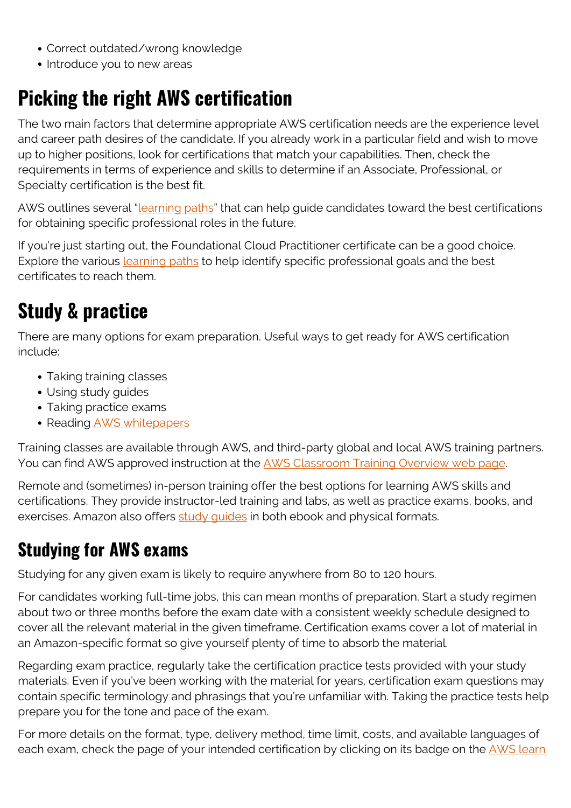- Correct outdated/wrong knowledge
- Introduce you to new areas

## **Picking the right AWS certification**

The two main factors that determine appropriate AWS certification needs are the experience level and career path desires of the candidate. If you already work in a particular field and wish to move up to higher positions, look for certifications that match your capabilities. Then, check the requirements in terms of experience and skills to determine if an Associate, Professional, or Specialty certification is the best fit.

AWS outlines several ["learning paths](https://aws.amazon.com/training/learning-paths/)" that can help guide candidates toward the best certifications for obtaining specific professional roles in the future.

If you're just starting out, the Foundational Cloud Practitioner certificate can be a good choice. Explore the various **learning paths** to help identify specific professional goals and the best certificates to reach them.

## **Study & practice**

There are many options for exam preparation. Useful ways to get ready for AWS certification include:

- Taking training classes
- Using study guides
- Taking practice exams
- Reading **AWS** whitepapers

Training classes are available through AWS, and third-party global and local AWS training partners. You can find AWS approved instruction at the [AWS Classroom Training Overview web page](https://aws.amazon.com/training/classroom/?th=tile&tile=ways).

Remote and (sometimes) in-person training offer the best options for learning AWS skills and certifications. They provide instructor-led training and labs, as well as practice exams, books, and exercises. Amazon also offers study quides in both ebook and physical formats.

### **Studying for AWS exams**

Studying for any given exam is likely to require anywhere from 80 to 120 hours.

For candidates working full-time jobs, this can mean months of preparation. Start a study regimen about two or three months before the exam date with a consistent weekly schedule designed to cover all the relevant material in the given timeframe. Certification exams cover a lot of material in an Amazon-specific format so give yourself plenty of time to absorb the material.

Regarding exam practice, regularly take the certification practice tests provided with your study materials. Even if you've been working with the material for years, certification exam questions may contain specific terminology and phrasings that you're unfamiliar with. Taking the practice tests help prepare you for the tone and pace of the exam.

For more details on the format, type, delivery method, time limit, costs, and available languages of each exam, check the page of your intended certification by clicking on its badge on the [AWS learn](https://aws.amazon.com/training/learning-paths/)